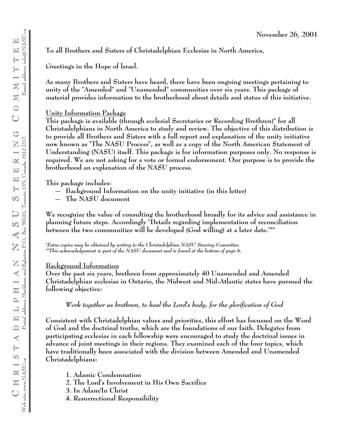**To all Brothers and Sisters of Christadelphian Ecclesias in North America,**

**Greetings in the Hope of lsrael.**

**As many Brothers and Sisters have heard, there have been ongoing meetings pertaining to unity of the "Amended" and "Unamended" communities over six years. This package of material provides information to the brotherhood about details and status of this initiative.**

#### **Unity Information Package**

**This package is available (through ecclesial Secretaries or Recording Brethren)\* for all Christadelphians in North America to study and review. The objective of this distribution is to provide all Brothers and Sisters with a full report and explanation of the unity initiative now known as "The NASU Process", as well as a copy of the North American Statement of Understanding (NASU) itself. This package is for information purposes only. No response is required. We are not asking for a vote or formal endorsement. Our purpose is to provide the brotherhood an explanation of the NASU process.**

**This package includes:**

- **Background Information on the unity initiative (in this letter)**
- **The NASU document**

**We recognize the value of consulting the brotherhood broadly for its advice and assistance in planning future steps. Accordingly "Details regarding implementation of reconciliation between the two communities will be developed (God willing) at a later date."\*\***

**\****Extra copies may be obtained by writing to the Christadelphian NASU Steering Committee. \*\*This acknowledgement is part of the NASU document and is found at the bottom of page* **6.**

### **Background Information**

**Over the past six years, brethren from approximately 40 Unamended and Amended Christadelphian ecclesias in Ontario, the Midwest and Mid-Atlantic states have pursued the following objective:**

### *Work together as brethren, to heal the Lord's body, for the glorification of God*

**Consistent with Christadelphian values and priorities, this effort has focussed on the Word of God and the doctrinal truths, which are the foundations of our faith. Delegates from participating ecclesias in each fellowship were encouraged to study the doctrinal issues in advance of joint meetings in their regions. They examined each of the four topics, which have traditionally been associated with the division between Amended and Unamended Christadelphians:**

- **1. Adamic Condemnation**
- **2. The Lord's Involvement in His Own Sacrifice**
- **3. In Adam/In Christ**
- **4. Resurrectional Responsibility**